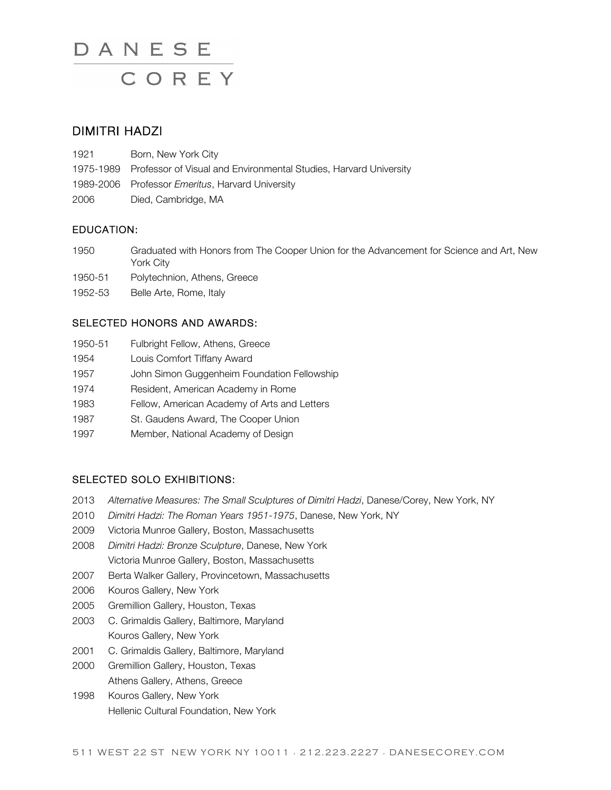## DIMITRI HADZI

- 1921 Born, New York City
- 1975-1989 Professor of Visual and Environmental Studies, Harvard University
- 1989-2006 Professor *Emeritus*, Harvard University
- 2006 Died, Cambridge, MA

### EDUCATION:

- 1950 Graduated with Honors from The Cooper Union for the Advancement for Science and Art, New York City
- 1950-51 Polytechnion, Athens, Greece
- 1952-53 Belle Arte, Rome, Italy

### SELECTED HONORS AND AWARDS:

- 1950-51 Fulbright Fellow, Athens, Greece
- 1954 Louis Comfort Tiffany Award
- 1957 John Simon Guggenheim Foundation Fellowship
- 1974 Resident, American Academy in Rome
- 1983 Fellow, American Academy of Arts and Letters
- 1987 St. Gaudens Award, The Cooper Union
- 1997 Member, National Academy of Design

## SELECTED SOLO EXHIBITIONS:

- 2013 *Alternative Measures: The Small Sculptures of Dimitri Hadzi*, Danese/Corey, New York, NY
- 2010 *Dimitri Hadzi: The Roman Years 1951-1975*, Danese, New York, NY
- 2009 Victoria Munroe Gallery, Boston, Massachusetts
- 2008 *Dimitri Hadzi: Bronze Sculpture*, Danese, New York Victoria Munroe Gallery, Boston, Massachusetts
- 2007 Berta Walker Gallery, Provincetown, Massachusetts
- 2006 Kouros Gallery, New York
- 2005 Gremillion Gallery, Houston, Texas
- 2003 C. Grimaldis Gallery, Baltimore, Maryland Kouros Gallery, New York
- 2001 C. Grimaldis Gallery, Baltimore, Maryland
- 2000 Gremillion Gallery, Houston, Texas Athens Gallery, Athens, Greece
- 1998 Kouros Gallery, New York Hellenic Cultural Foundation, New York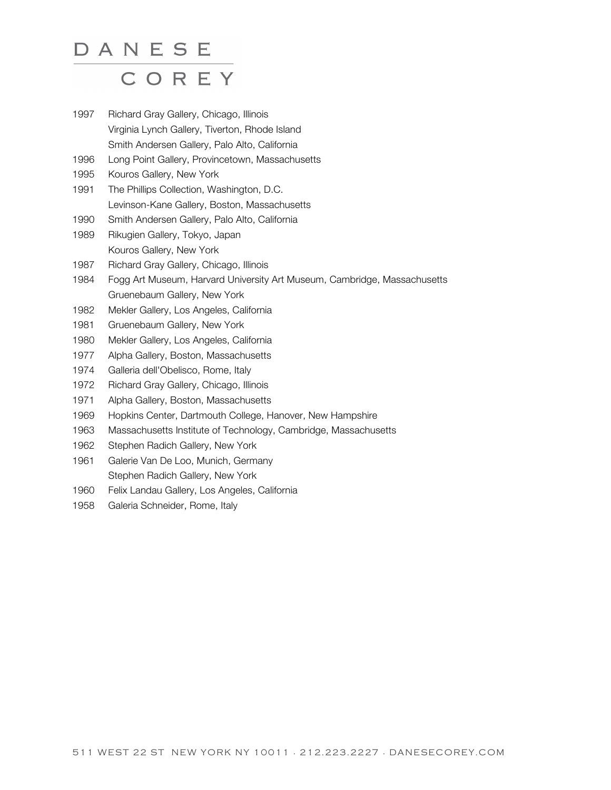- 1997 Richard Gray Gallery, Chicago, Illinois Virginia Lynch Gallery, Tiverton, Rhode Island Smith Andersen Gallery, Palo Alto, California
- 1996 Long Point Gallery, Provincetown, Massachusetts
- 1995 Kouros Gallery, New York
- 1991 The Phillips Collection, Washington, D.C. Levinson-Kane Gallery, Boston, Massachusetts
- 1990 Smith Andersen Gallery, Palo Alto, California
- 1989 Rikugien Gallery, Tokyo, Japan Kouros Gallery, New York
- 1987 Richard Gray Gallery, Chicago, Illinois
- 1984 Fogg Art Museum, Harvard University Art Museum, Cambridge, Massachusetts Gruenebaum Gallery, New York
- 1982 Mekler Gallery, Los Angeles, California
- 1981 Gruenebaum Gallery, New York
- 1980 Mekler Gallery, Los Angeles, California
- 1977 Alpha Gallery, Boston, Massachusetts
- 1974 Galleria dell'Obelisco, Rome, Italy
- 1972 Richard Gray Gallery, Chicago, Illinois
- 1971 Alpha Gallery, Boston, Massachusetts
- 1969 Hopkins Center, Dartmouth College, Hanover, New Hampshire
- 1963 Massachusetts Institute of Technology, Cambridge, Massachusetts
- 1962 Stephen Radich Gallery, New York
- 1961 Galerie Van De Loo, Munich, Germany Stephen Radich Gallery, New York
- 1960 Felix Landau Gallery, Los Angeles, California
- 1958 Galeria Schneider, Rome, Italy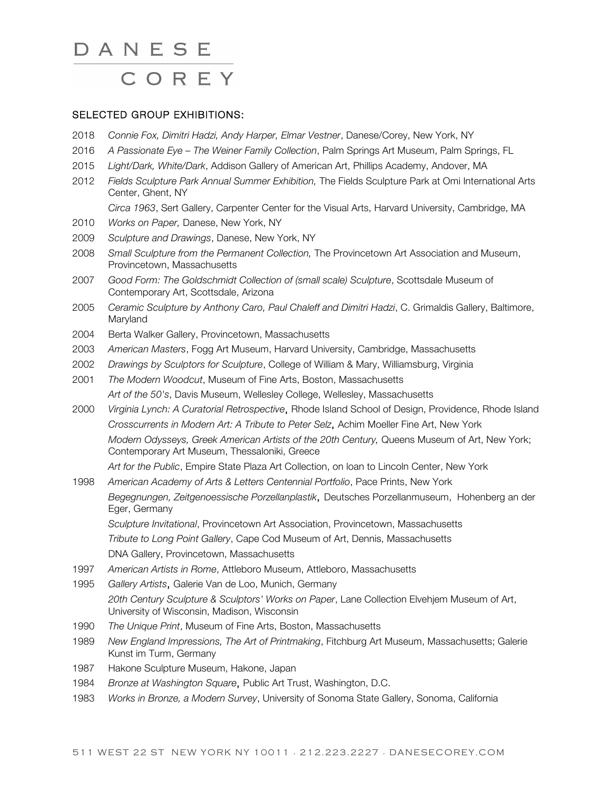#### SELECTED GROUP EXHIBITIONS:

- 2018 *Connie Fox, Dimitri Hadzi, Andy Harper, Elmar Vestner*, Danese/Corey, New York, NY
- 2016 *A Passionate Eye – The Weiner Family Collection*, Palm Springs Art Museum, Palm Springs, FL
- 2015 *Light/Dark, White/Dark*, Addison Gallery of American Art, Phillips Academy, Andover, MA
- 2012 *Fields Sculpture Park Annual Summer Exhibition,* The Fields Sculpture Park at Omi International Arts Center, Ghent, NY
	- *Circa 1963*, Sert Gallery, Carpenter Center for the Visual Arts, Harvard University, Cambridge, MA
- 2010 *Works on Paper,* Danese, New York, NY
- 2009 *Sculpture and Drawings*, Danese, New York, NY
- 2008 *Small Sculpture from the Permanent Collection,* The Provincetown Art Association and Museum, Provincetown, Massachusetts
- 2007 *Good Form: The Goldschmidt Collection of (small scale) Sculpture*, Scottsdale Museum of Contemporary Art, Scottsdale, Arizona
- 2005 *Ceramic Sculpture by Anthony Caro, Paul Chaleff and Dimitri Hadzi*, C. Grimaldis Gallery, Baltimore, Maryland
- 2004 Berta Walker Gallery, Provincetown, Massachusetts
- 2003 *American Masters*, Fogg Art Museum, Harvard University, Cambridge, Massachusetts
- 2002 *Drawings by Sculptors for Sculpture*, College of William & Mary, Williamsburg, Virginia
- 2001 *The Modern Woodcut*, Museum of Fine Arts, Boston, Massachusetts *Art of the 50's*, Davis Museum, Wellesley College, Wellesley, Massachusetts
- 2000 *Virginia Lynch: A Curatorial Retrospective*, Rhode Island School of Design, Providence, Rhode Island *Crosscurrents in Modern Art: A Tribute to Peter Selz*, Achim Moeller Fine Art, New York *Modern Odysseys, Greek American Artists of the 20th Century,* Queens Museum of Art, New York; Contemporary Art Museum, Thessaloniki, Greece

*Art for the Public*, Empire State Plaza Art Collection, on loan to Lincoln Center, New York

- 1998 *American Academy of Arts & Letters Centennial Portfolio*, Pace Prints, New York *Begegnungen, Zeitgenoessische Porzellanplastik*, Deutsches Porzellanmuseum, Hohenberg an der Eger, Germany *Sculpture Invitational*, Provincetown Art Association, Provincetown, Massachusetts *Tribute to Long Point Gallery*, Cape Cod Museum of Art, Dennis, Massachusetts
	- DNA Gallery, Provincetown, Massachusetts
- 1997 *American Artists in Rome*, Attleboro Museum, Attleboro, Massachusetts
- 1995 *Gallery Artists*, Galerie Van de Loo, Munich, Germany *20th Century Sculpture & Sculptors' Works on Paper*, Lane Collection Elvehjem Museum of Art, University of Wisconsin, Madison, Wisconsin
- 1990 *The Unique Print*, Museum of Fine Arts, Boston, Massachusetts
- 1989 *New England Impressions, The Art of Printmaking*, Fitchburg Art Museum, Massachusetts; Galerie Kunst im Turm, Germany
- 1987 Hakone Sculpture Museum, Hakone, Japan
- 1984 *Bronze at Washington Square*, Public Art Trust, Washington, D.C.
- 1983 *Works in Bronze, a Modern Survey*, University of Sonoma State Gallery, Sonoma, California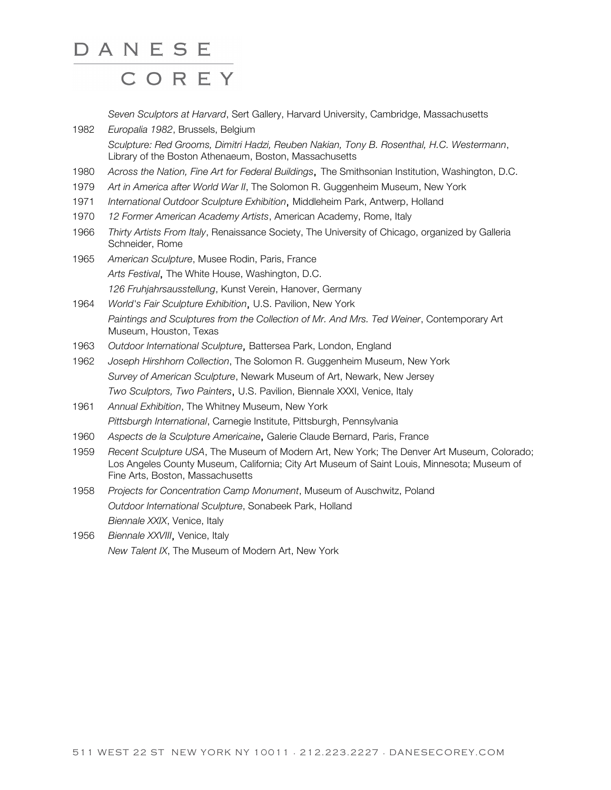*Seven Sculptors at Harvard*, Sert Gallery, Harvard University, Cambridge, Massachusetts

- 1982 *Europalia 1982*, Brussels, Belgium *Sculpture: Red Grooms, Dimitri Hadzi, Reuben Nakian, Tony B. Rosenthal, H.C. Westermann*, Library of the Boston Athenaeum, Boston, Massachusetts
- 1980 *Across the Nation, Fine Art for Federal Buildings*, The Smithsonian Institution, Washington, D.C.
- 1979 *Art in America after World War II*, The Solomon R. Guggenheim Museum, New York
- 1971 *International Outdoor Sculpture Exhibition*, Middleheim Park, Antwerp, Holland
- 1970 *12 Former American Academy Artists*, American Academy, Rome, Italy
- 1966 *Thirty Artists From Italy*, Renaissance Society, The University of Chicago, organized by Galleria Schneider, Rome
- 1965 *American Sculpture*, Musee Rodin, Paris, France *Arts Festival*, The White House, Washington, D.C. *126 Fruhjahrsausstellung*, Kunst Verein, Hanover, Germany
- 1964 *World's Fair Sculpture Exhibition*, U.S. Pavilion, New York *Paintings and Sculptures from the Collection of Mr. And Mrs. Ted Weiner*, Contemporary Art Museum, Houston, Texas
- 1963 *Outdoor International Sculpture*, Battersea Park, London, England
- 1962 *Joseph Hirshhorn Collection*, The Solomon R. Guggenheim Museum, New York *Survey of American Sculpture*, Newark Museum of Art, Newark, New Jersey *Two Sculptors, Two Painters*, U.S. Pavilion, Biennale XXXI, Venice, Italy
- 1961 *Annual Exhibition*, The Whitney Museum, New York *Pittsburgh International*, Carnegie Institute, Pittsburgh, Pennsylvania
- 1960 *Aspects de la Sculpture Americaine*, Galerie Claude Bernard, Paris, France
- 1959 *Recent Sculpture USA*, The Museum of Modern Art, New York; The Denver Art Museum, Colorado; Los Angeles County Museum, California; City Art Museum of Saint Louis, Minnesota; Museum of Fine Arts, Boston, Massachusetts
- 1958 *Projects for Concentration Camp Monument*, Museum of Auschwitz, Poland *Outdoor International Sculpture*, Sonabeek Park, Holland *Biennale XXIX*, Venice, Italy
- 1956 *Biennale XXVIII*, Venice, Italy *New Talent IX*, The Museum of Modern Art, New York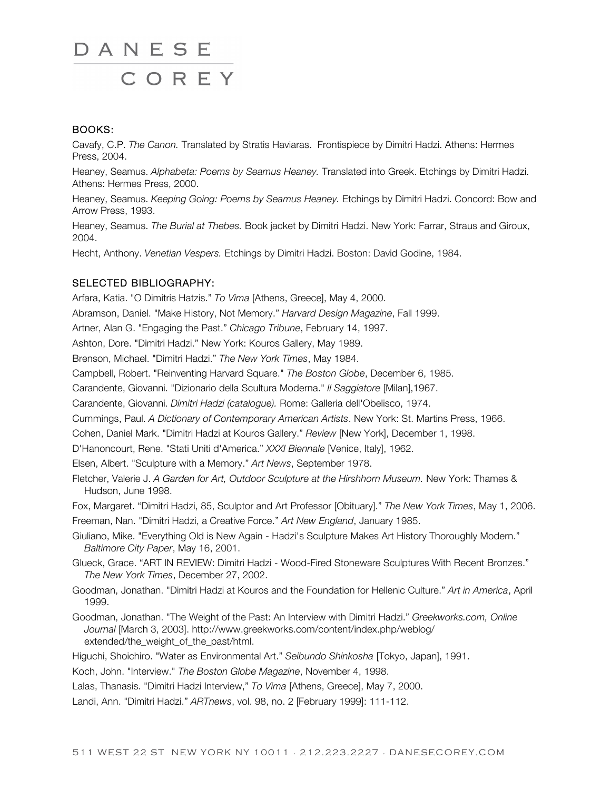#### BOOKS:

Cavafy, C.P. *The Canon.* Translated by Stratis Haviaras. Frontispiece by Dimitri Hadzi. Athens: Hermes Press, 2004.

Heaney, Seamus. *Alphabeta: Poems by Seamus Heaney.* Translated into Greek. Etchings by Dimitri Hadzi. Athens: Hermes Press, 2000.

Heaney, Seamus. *Keeping Going: Poems by Seamus Heaney.* Etchings by Dimitri Hadzi. Concord: Bow and Arrow Press, 1993.

Heaney, Seamus. *The Burial at Thebes.* Book jacket by Dimitri Hadzi. New York: Farrar, Straus and Giroux, 2004.

Hecht, Anthony. *Venetian Vespers.* Etchings by Dimitri Hadzi. Boston: David Godine, 1984.

#### SELECTED BIBLIOGRAPHY:

Arfara, Katia. "O Dimitris Hatzis." *To Vima* [Athens, Greece], May 4, 2000. Abramson, Daniel. "Make History, Not Memory." *Harvard Design Magazine*, Fall 1999. Artner, Alan G. "Engaging the Past." *Chicago Tribune*, February 14, 1997. Ashton, Dore. "Dimitri Hadzi." New York: Kouros Gallery, May 1989. Brenson, Michael. "Dimitri Hadzi." *The New York Times*, May 1984. Campbell, Robert. "Reinventing Harvard Square." *The Boston Globe*, December 6, 1985. Carandente, Giovanni. "Dizionario della Scultura Moderna." *Il Saggiatore* [Milan],1967. Carandente, Giovanni. *Dimitri Hadzi (catalogue).* Rome: Galleria dell'Obelisco, 1974. Cummings, Paul. *A Dictionary of Contemporary American Artists*. New York: St. Martins Press, 1966. Cohen, Daniel Mark. "Dimitri Hadzi at Kouros Gallery." *Review* [New York], December 1, 1998. D'Hanoncourt, Rene. "Stati Uniti d'America." *XXXI Biennale* [Venice, Italy], 1962. Elsen, Albert. "Sculpture with a Memory." *Art News*, September 1978. Fletcher, Valerie J. *A Garden for Art, Outdoor Sculpture at the Hirshhorn Museum.* New York: Thames & Hudson, June 1998. Fox, Margaret. "Dimitri Hadzi, 85, Sculptor and Art Professor [Obituary]." *The New York Times*, May 1, 2006. Freeman, Nan. "Dimitri Hadzi, a Creative Force." *Art New England*, January 1985. Giuliano, Mike. "Everything Old is New Again - Hadzi's Sculpture Makes Art History Thoroughly Modern." *Baltimore City Paper*, May 16, 2001. Glueck, Grace. "ART IN REVIEW: Dimitri Hadzi - Wood-Fired Stoneware Sculptures With Recent Bronzes." *The New York Times*, December 27, 2002. Goodman, Jonathan. "Dimitri Hadzi at Kouros and the Foundation for Hellenic Culture." *Art in America*, April 1999. Goodman, Jonathan. "The Weight of the Past: An Interview with Dimitri Hadzi." *Greekworks.com, Online Journal* [March 3, 2003]. http://www.greekworks.com/content/index.php/weblog/ extended/the\_weight\_of\_the\_past/html.

Higuchi, Shoichiro. "Water as Environmental Art." *Seibundo Shinkosha* [Tokyo, Japan], 1991.

Koch, John. "Interview." *The Boston Globe Magazine*, November 4, 1998.

Lalas, Thanasis. "Dimitri Hadzi Interview," *To Vima* [Athens, Greece], May 7, 2000.

Landi, Ann. "Dimitri Hadzi." *ARTnews*, vol. 98, no. 2 [February 1999]: 111-112.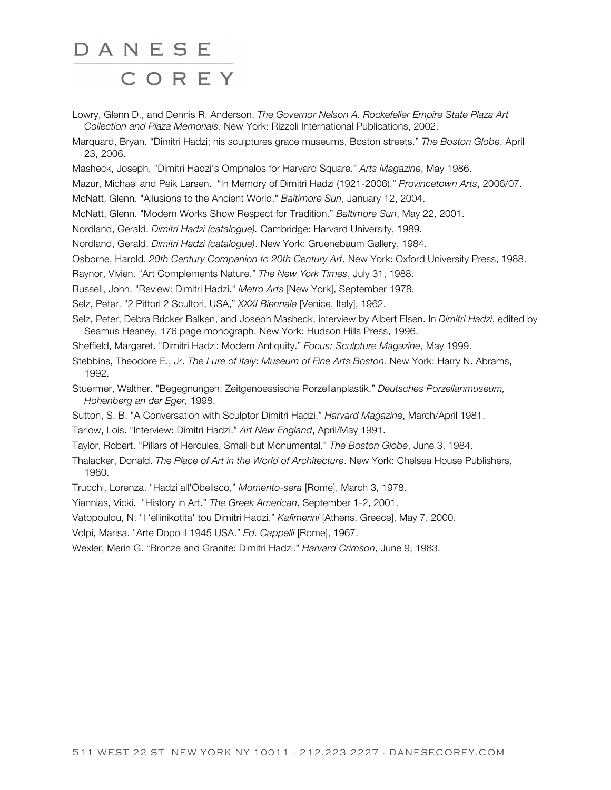Lowry, Glenn D., and Dennis R. Anderson. *The Governor Nelson A. Rockefeller Empire State Plaza Art Collection and Plaza Memorials*. New York: Rizzoli International Publications, 2002.

Marquard, Bryan. "Dimitri Hadzi; his sculptures grace museums, Boston streets." *The Boston Globe*, April 23, 2006.

Masheck, Joseph. "Dimitri Hadzi's Omphalos for Harvard Square." *Arts Magazine*, May 1986.

Mazur, Michael and Peik Larsen. "In Memory of Dimitri Hadzi (1921-2006)." *Provincetown Arts*, 2006/07.

McNatt, Glenn. "Allusions to the Ancient World." *Baltimore Sun*, January 12, 2004.

McNatt, Glenn. "Modern Works Show Respect for Tradition." *Baltimore Sun*, May 22, 2001.

Nordland, Gerald. *Dimitri Hadzi (catalogue).* Cambridge: Harvard University, 1989.

Nordland, Gerald. *Dimitri Hadzi (catalogue)*. New York: Gruenebaum Gallery, 1984.

Osborne, Harold. *20th Century Companion to 20th Century Art*. New York: Oxford University Press, 1988.

Raynor, Vivien. "Art Complements Nature." *The New York Times*, July 31, 1988.

Russell, John. "Review: Dimitri Hadzi." *Metro Arts* [New York], September 1978.

Selz, Peter. "2 Pittori 2 Scultori, USA," *XXXI Biennale* [Venice, Italy], 1962.

Selz, Peter, Debra Bricker Balken, and Joseph Masheck, interview by Albert Elsen. In *Dimitri Hadzi*, edited by Seamus Heaney, 176 page monograph. New York: Hudson Hills Press, 1996.

Sheffield, Margaret. "Dimitri Hadzi: Modern Antiquity." *Focus: Sculpture Magazine*, May 1999.

Stebbins, Theodore E., Jr. *The Lure of Italy*: *Museum of Fine Arts Boston.* New York: Harry N. Abrams, 1992.

Stuermer, Walther. "Begegnungen, Zeitgenoessische Porzellanplastik." *Deutsches Porzellanmuseum, Hohenberg an der Eger,* 1998.

Sutton, S. B. "A Conversation with Sculptor Dimitri Hadzi." *Harvard Magazine*, March/April 1981.

Tarlow, Lois. "Interview: Dimitri Hadzi." *Art New England*, April/May 1991.

Taylor, Robert. "Pillars of Hercules, Small but Monumental." *The Boston Globe*, June 3, 1984.

Thalacker, Donald. *The Place of Art in the World of Architecture*. New York: Chelsea House Publishers, 1980.

Trucchi, Lorenza. "Hadzi all'Obelisco," *Momento-sera* [Rome], March 3, 1978.

Yiannias, Vicki. "History in Art." *The Greek American*, September 1-2, 2001.

Vatopoulou, N. "I 'ellinikotita' tou Dimitri Hadzi." *Kafimerini* [Athens, Greece], May 7, 2000.

Volpi, Marisa. "Arte Dopo il 1945 USA." *Ed. Cappelli* [Rome], 1967.

Wexler, Merin G. "Bronze and Granite: Dimitri Hadzi." *Harvard Crimson*, June 9, 1983.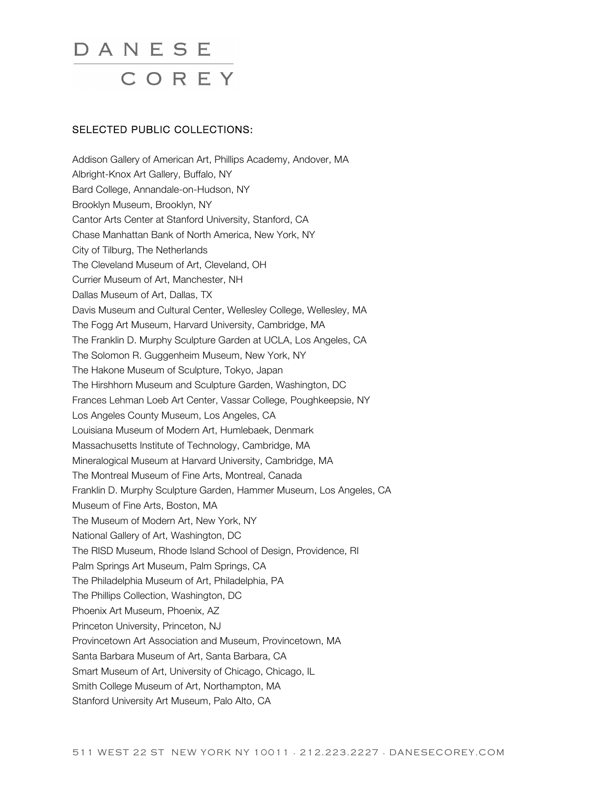#### SELECTED PUBLIC COLLECTIONS:

Addison Gallery of American Art, Phillips Academy, Andover, MA Albright-Knox Art Gallery, Buffalo, NY Bard College, Annandale-on-Hudson, NY Brooklyn Museum, Brooklyn, NY Cantor Arts Center at Stanford University, Stanford, CA Chase Manhattan Bank of North America, New York, NY City of Tilburg, The Netherlands The Cleveland Museum of Art, Cleveland, OH Currier Museum of Art, Manchester, NH Dallas Museum of Art, Dallas, TX Davis Museum and Cultural Center, Wellesley College, Wellesley, MA The Fogg Art Museum, Harvard University, Cambridge, MA The Franklin D. Murphy Sculpture Garden at UCLA, Los Angeles, CA The Solomon R. Guggenheim Museum, New York, NY The Hakone Museum of Sculpture, Tokyo, Japan The Hirshhorn Museum and Sculpture Garden, Washington, DC Frances Lehman Loeb Art Center, Vassar College, Poughkeepsie, NY Los Angeles County Museum, Los Angeles, CA Louisiana Museum of Modern Art, Humlebaek, Denmark Massachusetts Institute of Technology, Cambridge, MA Mineralogical Museum at Harvard University, Cambridge, MA The Montreal Museum of Fine Arts, Montreal, Canada Franklin D. Murphy Sculpture Garden, Hammer Museum, Los Angeles, CA Museum of Fine Arts, Boston, MA The Museum of Modern Art, New York, NY National Gallery of Art, Washington, DC The RISD Museum, Rhode Island School of Design, Providence, RI Palm Springs Art Museum, Palm Springs, CA The Philadelphia Museum of Art, Philadelphia, PA The Phillips Collection, Washington, DC Phoenix Art Museum, Phoenix, AZ Princeton University, Princeton, NJ Provincetown Art Association and Museum, Provincetown, MA Santa Barbara Museum of Art, Santa Barbara, CA Smart Museum of Art, University of Chicago, Chicago, IL Smith College Museum of Art, Northampton, MA Stanford University Art Museum, Palo Alto, CA